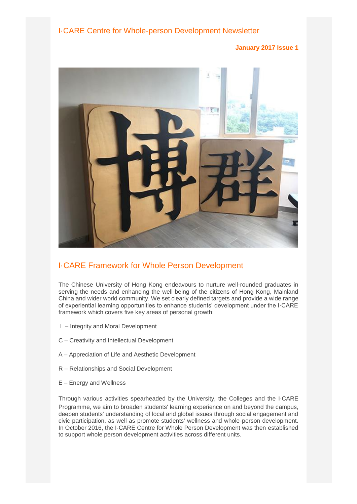I·CARE Centre for Whole-person Development Newsletter

**January 2017 Issue 1**



# I·CARE Framework for Whole Person Development

The Chinese University of Hong Kong endeavours to nurture well-rounded graduates in serving the needs and enhancing the well-being of the citizens of Hong Kong, Mainland China and wider world community. We set clearly defined targets and provide a wide range of experiential learning opportunities to enhance students' development under the I·CARE framework which covers five key areas of personal growth:

- I Integrity and Moral Development
- C Creativity and Intellectual Development
- A Appreciation of Life and Aesthetic Development
- R Relationships and Social Development
- E Energy and Wellness

Through various activities spearheaded by the University, the Colleges and the I‧CARE Programme, we aim to broaden students' learning experience on and beyond the campus, deepen students' understanding of local and global issues through social engagement and civic participation, as well as promote students' wellness and whole-person development. In October 2016, the I·CARE Centre for Whole Person Development was then established to support whole person development activities across different units.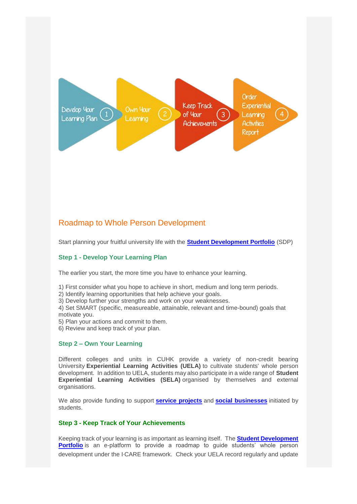

### Roadmap to Whole Person Development

Start planning your fruitful university life with the **[Student Development Portfolio](http://www.sdp.cuhk.edu.hk/)** (SDP)

### **Step 1 - Develop Your Learning Plan**

The earlier you start, the more time you have to enhance your learning.

- 1) First consider what you hope to achieve in short, medium and long term periods.
- 2) Identify learning opportunities that help achieve your goals.
- 3) Develop further your strengths and work on your weaknesses.

4) Set SMART (specific, measureable, attainable, relevant and time-bound) goals that motivate you.

- 5) Plan your actions and commit to them.
- 6) Review and keep track of your plan.

#### **Step 2 – Own Your Learning**

Different colleges and units in CUHK provide a variety of non-credit bearing University **Experiential Learning Activities (UELA)** to cultivate students' whole person development. In addition to UELA, students may also participate in a wide range of **Student Experiential Learning Activities (SELA)** organised by themselves and external organisations.

We also provide funding to support **[service projects](http://www4.cuhk.edu.hk/icare/index.php/en/projects/service-projects)** and **[social businesses](http://www4.cuhk.edu.hk/icare/index.php/en/projects/social-enterprise)** initiated by students.

### **Step 3 - Keep Track of Your Achievements**

Keeping track of your learning is as important as learning itself. The **[Student Development](http://www.sdp.cuhk.edu.hk/)  [Portfolio](http://www.sdp.cuhk.edu.hk/)** is an e-platform to provide a roadmap to guide students' whole person development under the I‧CARE framework. Check your UELA record regularly and update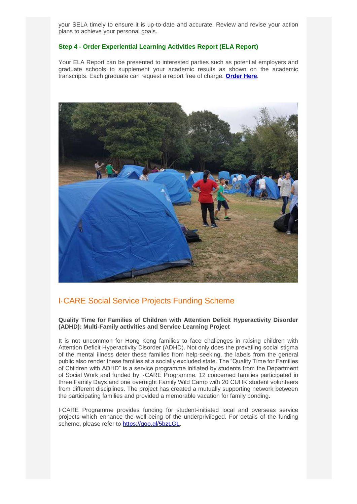your SELA timely to ensure it is up-to-date and accurate. Review and revise your action plans to achieve your personal goals.

#### **Step 4 - Order Experiential Learning Activities Report (ELA Report)**

Your ELA Report can be presented to interested parties such as potential employers and graduate schools to supplement your academic results as shown on the academic transcripts. Each graduate can request a report free of charge. **[Order Here](https://cloud.itsc.cuhk.edu.hk/webform/view.php?id=2664058)**.

![](_page_2_Picture_3.jpeg)

### I·CARE Social Service Projects Funding Scheme

**Quality Time for Families of Children with Attention Deficit Hyperactivity Disorder (ADHD): Multi-Family activities and Service Learning Project**

It is not uncommon for Hong Kong families to face challenges in raising children with Attention Deficit Hyperactivity Disorder (ADHD). Not only does the prevailing social stigma of the mental illness deter these families from help-seeking, the labels from the general public also render these families at a socially excluded state. The "Quality Time for Families of Children with ADHD" is a service programme initiated by students from the Department of Social Work and funded by I·CARE Programme. 12 concerned families participated in three Family Days and one overnight Family Wild Camp with 20 CUHK student volunteers from different disciplines. The project has created a mutually supporting network between the participating families and provided a memorable vacation for family bonding.

I·CARE Programme provides funding for student-initiated local and overseas service projects which enhance the well-being of the underprivileged. For details of the funding scheme, please refer to [https://goo.gl/5bzLGL.](https://goo.gl/5bzLGL)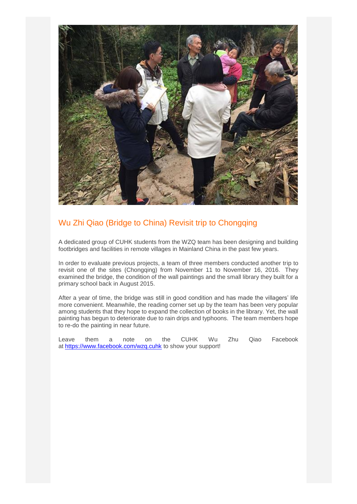![](_page_3_Picture_0.jpeg)

# Wu Zhi Qiao (Bridge to China) Revisit trip to Chongqing

A dedicated group of CUHK students from the WZQ team has been designing and building footbridges and facilities in remote villages in Mainland China in the past few years.

In order to evaluate previous projects, a team of three members conducted another trip to revisit one of the sites (Chongqing) from November 11 to November 16, 2016. They examined the bridge, the condition of the wall paintings and the small library they built for a primary school back in August 2015.

After a year of time, the bridge was still in good condition and has made the villagers' life more convenient. Meanwhile, the reading corner set up by the team has been very popular among students that they hope to expand the collection of books in the library. Yet, the wall painting has begun to deteriorate due to rain drips and typhoons. The team members hope to re-do the painting in near future.

Leave them a note on the CUHK Wu Zhu Qiao Facebook at <https://www.facebook.com/wzq.cuhk> to show your support!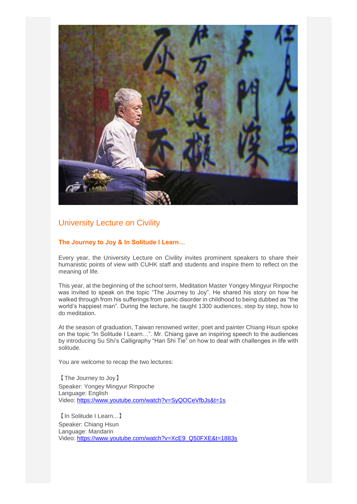![](_page_4_Picture_0.jpeg)

# University Lecture on Civility

### **The Journey to Joy & In Solitude I Learn…**

Every year, the University Lecture on Civility invites prominent speakers to share their humanistic points of view with CUHK staff and students and inspire them to reflect on the meaning of life.

This year, at the beginning of the school term, Meditation Master Yongey Mingyur Rinpoche was invited to speak on the topic "The Journey to Joy". He shared his story on how he walked through from his sufferings from panic disorder in childhood to being dubbed as "the world's happiest man". During the lecture, he taught 1300 audiences, step by step, how to do meditation.

At the season of graduation, Taiwan renowned writer, poet and painter Chiang Hsun spoke on the topic "In Solitude I Learn…". Mr. Chiang gave an inspiring speech to the audiences by introducing Su Shi's Calligraphy "Han Shi Tie" on how to deal with challenges in life with solitude.

You are welcome to recap the two lectures:

【The Journey to Joy】 Speaker: Yongey Mingyur Rinpoche Language: English Video: <https://www.youtube.com/watch?v=SyQOCeVfbJs&t=1s>

【In Solitude I Learn...】 Speaker: Chiang Hsun Language: Mandarin Video: [https://www.youtube.com/watch?v=XcE9\\_Q50FXE&t=1883s](https://www.youtube.com/watch?v=XcE9_Q50FXE&t=1883s)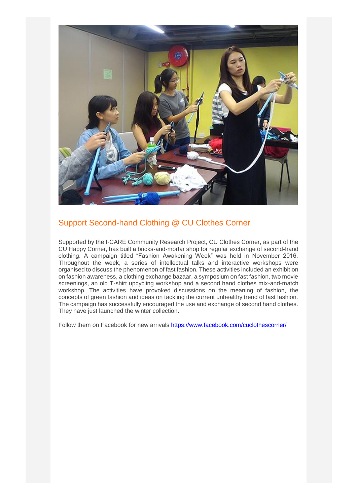![](_page_5_Picture_0.jpeg)

# Support Second-hand Clothing @ CU Clothes Corner

Supported by the I·CARE Community Research Project, CU Clothes Corner, as part of the CU Happy Corner, has built a bricks-and-mortar shop for regular exchange of second-hand clothing. A campaign titled "Fashion Awakening Week" was held in November 2016. Throughout the week, a series of intellectual talks and interactive workshops were organised to discuss the phenomenon of fast fashion. These activities included an exhibition on fashion awareness, a clothing exchange bazaar, a symposium on fast fashion, two movie screenings, an old T-shirt upcycling workshop and a second hand clothes mix-and-match workshop. The activities have provoked discussions on the meaning of fashion, the concepts of green fashion and ideas on tackling the current unhealthy trend of fast fashion. The campaign has successfully encouraged the use and exchange of second hand clothes. They have just launched the winter collection.

Follow them on Facebook for new arrivals <https://www.facebook.com/cuclothescorner/>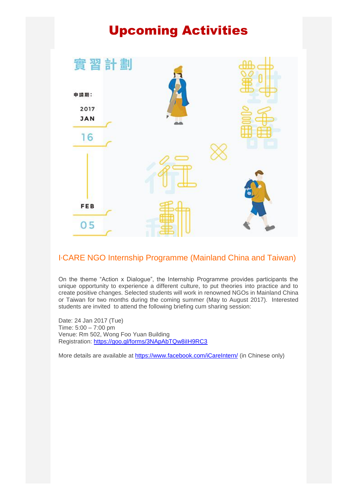# Upcoming Activities

![](_page_6_Picture_1.jpeg)

# I‧CARE NGO Internship Programme (Mainland China and Taiwan)

On the theme "Action x Dialogue", the Internship Programme provides participants the unique opportunity to experience a different culture, to put theories into practice and to create positive changes. Selected students will work in renowned NGOs in Mainland China or Taiwan for two months during the coming summer (May to August 2017). Interested students are invited to attend the following briefing cum sharing session:

Date: 24 Jan 2017 (Tue) Time: 5:00 – 7:00 pm Venue: Rm 502, Wong Foo Yuan Building Registration: <https://goo.gl/forms/3NApAbTQw8iIH9RC3>

More details are available at <https://www.facebook.com/iCareIntern/> (in Chinese only)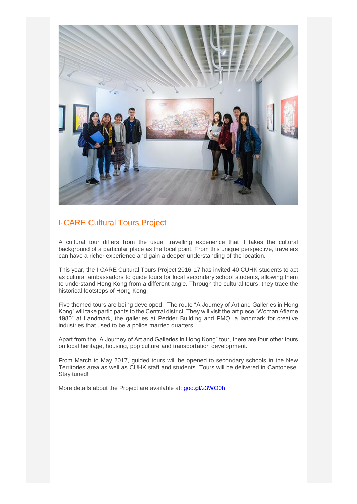![](_page_7_Picture_0.jpeg)

# I·CARE Cultural Tours Project

A cultural tour differs from the usual travelling experience that it takes the cultural background of a particular place as the focal point. From this unique perspective, travelers can have a richer experience and gain a deeper understanding of the location.

This year, the I·CARE Cultural Tours Project 2016-17 has invited 40 CUHK students to act as cultural ambassadors to guide tours for local secondary school students, allowing them to understand Hong Kong from a different angle. Through the cultural tours, they trace the historical footsteps of Hong Kong.

Five themed tours are being developed. The route "A Journey of Art and Galleries in Hong Kong" will take participants to the Central district. They will visit the art piece "Woman Aflame 1980" at Landmark, the galleries at Pedder Building and PMQ, a landmark for creative industries that used to be a police married quarters.

Apart from the "A Journey of Art and Galleries in Hong Kong" tour, there are four other tours on local heritage, housing, pop culture and transportation development.

From March to May 2017, guided tours will be opened to secondary schools in the New Territories area as well as CUHK staff and students. Tours will be delivered in Cantonese. Stay tuned!

More details about the Project are available at: [goo.gl/z3WO0h](https://goo.gl/z3WO0h)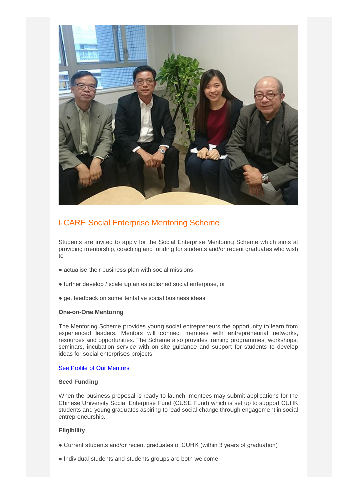![](_page_8_Picture_0.jpeg)

# I·CARE Social Enterprise Mentoring Scheme

Students are invited to apply for the Social Enterprise Mentoring Scheme which aims at providing mentorship, coaching and funding for students and/or recent graduates who wish to

- actualise their business plan with social missions
- further develop / scale up an established social enterprise, or
- get feedback on some tentative social business ideas

#### **One-on-One Mentoring**

The Mentoring Scheme provides young social entrepreneurs the opportunity to learn from experienced leaders. Mentors will connect mentees with entrepreneurial networks, resources and opportunities. The Scheme also provides training programmes, workshops, seminars, incubation service with on-site guidance and support for students to develop ideas for social enterprises projects.

[See Profile of Our Mentors](http://www4.cuhk.edu.hk/icare/icare_media/Projects/CSR/2016-17/se_mentoring_mentor_list.pdf)

#### **Seed Funding**

When the business proposal is ready to launch, mentees may submit applications for the Chinese University Social Enterprise Fund (CUSE Fund) which is set up to support CUHK students and young graduates aspiring to lead social change through engagement in social entrepreneurship.

### **Eligibility**

- Current students and/or recent graduates of CUHK (within 3 years of graduation)
- Individual students and students groups are both welcome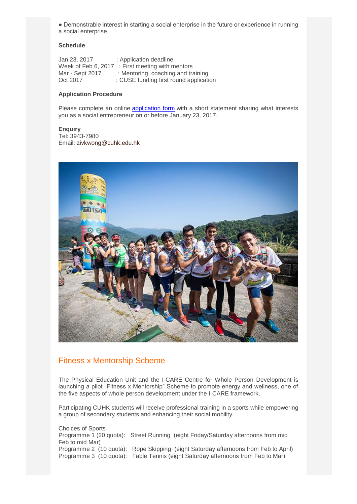● Demonstrable interest in starting a social enterprise in the future or experience in running a social enterprise

#### **Schedule**

Jan 23, 2017 : Application deadline Week of Feb 6, 2017 : First meeting with mentors Mar - Sept 2017 : Mentoring, coaching and training<br>Oct 2017 : CUSE funding first round applicati : CUSE funding first round application

#### **Application Procedure**

Please complete an online [application form](https://cloud.itsc.cuhk.edu.hk/webform/view.php?id=2506160) with a short statement sharing what interests you as a social entrepreneur on or before January 23, 2017.

#### **Enquiry**

Tel: 3943-7980 Email: [zivkwong@cuhk.edu.hk](mailto:zivkwong@cuhk.edu.hk)

![](_page_9_Picture_7.jpeg)

### Fitness x Mentorship Scheme

The Physical Education Unit and the I·CARE Centre for Whole Person Development is launching a pilot "Fitness x Mentorship" Scheme to promote energy and wellness, one of the five aspects of whole person development under the I·CARE framework.

Participating CUHK students will receive professional training in a sports while empowering a group of secondary students and enhancing their social mobility.

Choices of Sports Programme 1 (20 quota): Street Running (eight Friday/Saturday afternoons from mid Feb to mid Mar) Programme 2 (10 quota): Rope Skipping (eight Saturday afternoons from Feb to April) Programme 3 (10 quota): Table Tennis (eight Saturday afternoons from Feb to Mar)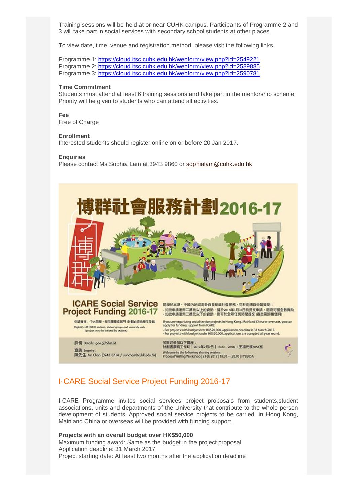Training sessions will be held at or near CUHK campus. Participants of Programme 2 and 3 will take part in social services with secondary school students at other places.

To view date, time, venue and registration method, please visit the following links

Programme 1: <https://cloud.itsc.cuhk.edu.hk/webform/view.php?id=2549221> Programme 2: <https://cloud.itsc.cuhk.edu.hk/webform/view.php?id=2589885> Programme 3: <https://cloud.itsc.cuhk.edu.hk/webform/view.php?id=2590781>

#### **Time Commitment**

Students must attend at least 6 training sessions and take part in the mentorship scheme. Priority will be given to students who can attend all activities.

**Fee** Free of Charge

#### **Enrollment**

Interested students should register online on or before 20 Jan 2017.

#### **Enquiries**

Please contact Ms Sophia Lam at 3943 9860 or [sophialam@cuhk.edu.hk](mailto:sophialam@cuhk.edu.hk)

![](_page_10_Picture_10.jpeg)

### I·CARE Social Service Project Funding 2016-17

I·CARE Programme invites social services project proposals from students,student associations, units and departments of the University that contribute to the whole person development of students. Approved social service projects to be carried in Hong Kong, Mainland China or overseas will be provided with funding support.

#### **Projects with an overall budget over HK\$50,000**

Maximum funding award: Same as the budget in the project proposal Application deadline: 31 March 2017 Project starting date: At least two months after the application deadline